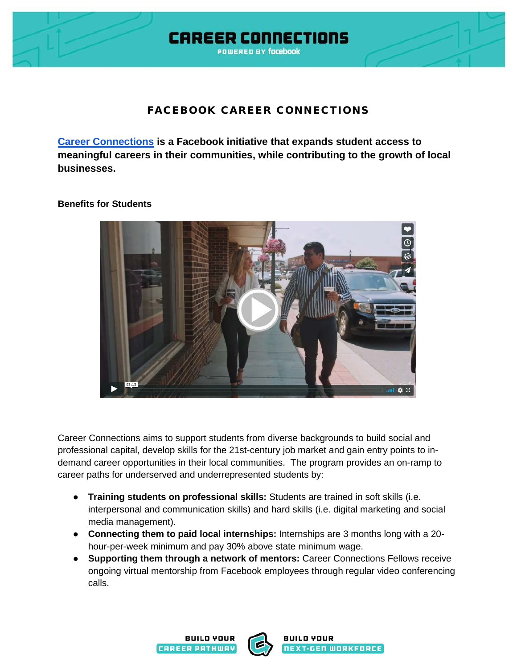

## FACEBOOK CAREER CONNECTIONS

**[Career Connections](http://careerconnections.fb.com/) is a Facebook initiative that expands student access to meaningful careers in their communities, while contributing to the growth of local businesses.**

## **Benefits for Students**



Career Connections aims to support students from diverse backgrounds to build social and professional capital, develop skills for the 21st-century job market and gain entry points to indemand career opportunities in their local communities. The program provides an on-ramp to career paths for underserved and underrepresented students by:

- **Training students on professional skills:** Students are trained in soft skills (i.e. interpersonal and communication skills) and hard skills (i.e. digital marketing and social media management).
- **Connecting them to paid local internships:** Internships are 3 months long with a 20 hour-per-week minimum and pay 30% above state minimum wage.
- **Supporting them through a network of mentors:** Career Connections Fellows receive ongoing virtual mentorship from Facebook employees through regular video conferencing calls.